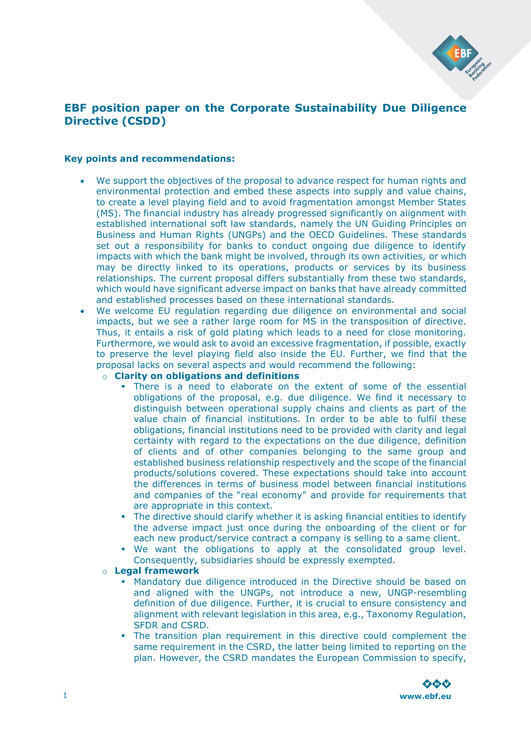

# **EBF position paper on the Corporate Sustainability Due Diligence Directive (CSDD)**

#### **Key points and recommendations:**

- We support the objectives of the proposal to advance respect for human rights and environmental protection and embed these aspects into supply and value chains, to create a level playing field and to avoid fragmentation amongst Member States (MS). The financial industry has already progressed significantly on alignment with established international soft law standards, namely the UN Guiding Principles on Business and Human Rights (UNGPs) and the OECD Guidelines. These standards set out a responsibility for banks to conduct ongoing due diligence to identify impacts with which the bank might be involved, through its own activities, or which may be directly linked to its operations, products or services by its business relationships. The current proposal differs substantially from these two standards, which would have significant adverse impact on banks that have already committed and established processes based on these international standards.
- We welcome EU regulation regarding due diligence on environmental and social impacts, but we see a rather large room for MS in the transposition of directive. Thus, it entails a risk of gold plating which leads to a need for close monitoring. Furthermore, we would ask to avoid an excessive fragmentation, if possible, exactly to preserve the level playing field also inside the EU. Further, we find that the proposal lacks on several aspects and would recommend the following:

### o **Clarity on obligations and definitions**

- **There is a need to elaborate on the extent of some of the essential** obligations of the proposal, e.g. due diligence. We find it necessary to distinguish between operational supply chains and clients as part of the value chain of financial institutions. In order to be able to fulfil these obligations, financial institutions need to be provided with clarity and legal certainty with regard to the expectations on the due diligence, definition of clients and of other companies belonging to the same group and established business relationship respectively and the scope of the financial products/solutions covered. These expectations should take into account the differences in terms of business model between financial institutions and companies of the "real economy" and provide for requirements that are appropriate in this context.
- The directive should clarify whether it is asking financial entities to identify the adverse impact just once during the onboarding of the client or for each new product/service contract a company is selling to a same client.
- We want the obligations to apply at the consolidated group level. Consequently, subsidiaries should be expressly exempted.

#### o **Legal framework**

- Mandatory due diligence introduced in the Directive should be based on and aligned with the UNGPs, not introduce a new, UNGP-resembling definition of due diligence. Further, it is crucial to ensure consistency and alignment with relevant legislation in this area, e.g., Taxonomy Regulation, SFDR and CSRD.
- The transition plan requirement in this directive could complement the same requirement in the CSRD, the latter being limited to reporting on the plan. However, the CSRD mandates the European Commission to specify,

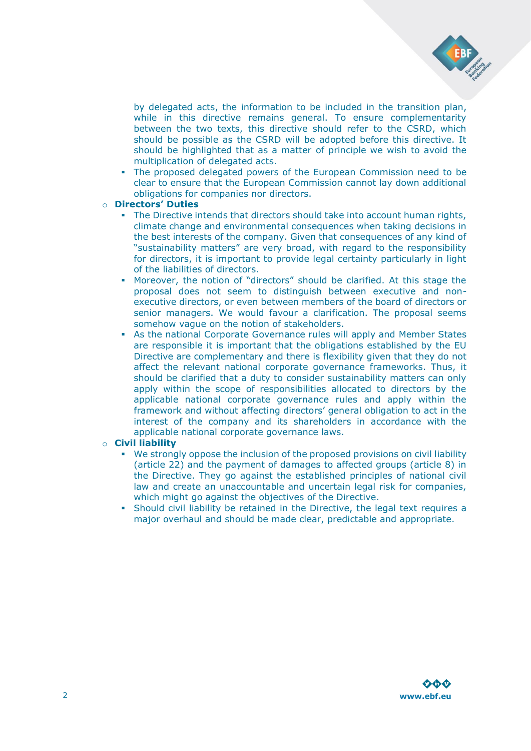

by delegated acts, the information to be included in the transition plan, while in this directive remains general. To ensure complementarity between the two texts, this directive should refer to the CSRD, which should be possible as the CSRD will be adopted before this directive. It should be highlighted that as a matter of principle we wish to avoid the multiplication of delegated acts.

▪ The proposed delegated powers of the European Commission need to be clear to ensure that the European Commission cannot lay down additional obligations for companies nor directors.

#### o **Directors' Duties**

- **•** The Directive intends that directors should take into account human rights, climate change and environmental consequences when taking decisions in the best interests of the company. Given that consequences of any kind of "sustainability matters" are very broad, with regard to the responsibility for directors, it is important to provide legal certainty particularly in light of the liabilities of directors.
- Moreover, the notion of "directors" should be clarified. At this stage the proposal does not seem to distinguish between executive and nonexecutive directors, or even between members of the board of directors or senior managers. We would favour a clarification. The proposal seems somehow vague on the notion of stakeholders.
- **As the national Corporate Governance rules will apply and Member States** are responsible it is important that the obligations established by the EU Directive are complementary and there is flexibility given that they do not affect the relevant national corporate governance frameworks. Thus, it should be clarified that a duty to consider sustainability matters can only apply within the scope of responsibilities allocated to directors by the applicable national corporate governance rules and apply within the framework and without affecting directors' general obligation to act in the interest of the company and its shareholders in accordance with the applicable national corporate governance laws.

#### o **Civil liability**

- We strongly oppose the inclusion of the proposed provisions on civil liability (article 22) and the payment of damages to affected groups (article 8) in the Directive. They go against the established principles of national civil law and create an unaccountable and uncertain legal risk for companies, which might go against the objectives of the Directive.
- Should civil liability be retained in the Directive, the legal text requires a major overhaul and should be made clear, predictable and appropriate.

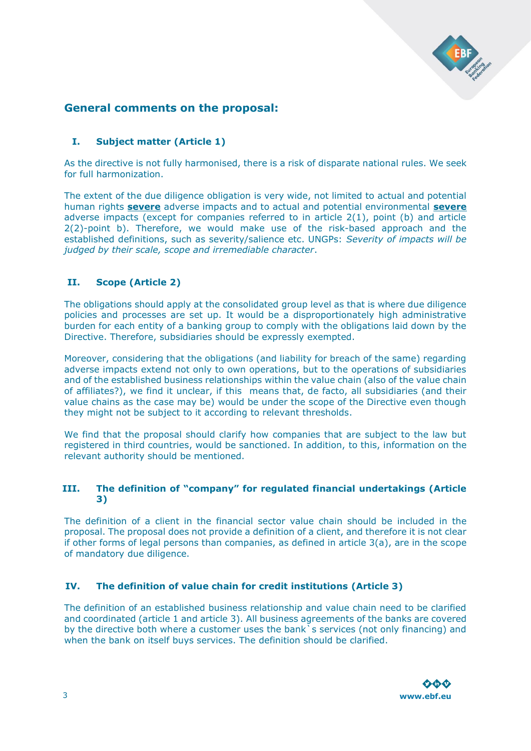

# **General comments on the proposal:**

# **I. Subject matter (Article 1)**

As the directive is not fully harmonised, there is a risk of disparate national rules. We seek for full harmonization.

The extent of the due diligence obligation is very wide, not limited to actual and potential human rights **severe** adverse impacts and to actual and potential environmental **severe**  adverse impacts (except for companies referred to in article 2(1), point (b) and article 2(2)-point b). Therefore, we would make use of the risk-based approach and the established definitions, such as severity/salience etc. UNGPs: *Severity of impacts will be judged by their scale, scope and irremediable character*.

# **II. Scope (Article 2)**

The obligations should apply at the consolidated group level as that is where due diligence policies and processes are set up. It would be a disproportionately high administrative burden for each entity of a banking group to comply with the obligations laid down by the Directive. Therefore, subsidiaries should be expressly exempted.

Moreover, considering that the obligations (and liability for breach of the same) regarding adverse impacts extend not only to own operations, but to the operations of subsidiaries and of the established business relationships within the value chain (also of the value chain of affiliates?), we find it unclear, if this means that, de facto, all subsidiaries (and their value chains as the case may be) would be under the scope of the Directive even though they might not be subject to it according to relevant thresholds.

We find that the proposal should clarify how companies that are subject to the law but registered in third countries, would be sanctioned. In addition, to this, information on the relevant authority should be mentioned.

# **III. The definition of "company" for regulated financial undertakings (Article 3)**

The definition of a client in the financial sector value chain should be included in the proposal. The proposal does not provide a definition of a client, and therefore it is not clear if other forms of legal persons than companies, as defined in article 3(a), are in the scope of mandatory due diligence.

# **IV. The definition of value chain for credit institutions (Article 3)**

The definition of an established business relationship and value chain need to be clarified and coordinated (article 1 and article 3). All business agreements of the banks are covered by the directive both where a customer uses the bank s services (not only financing) and when the bank on itself buys services. The definition should be clarified.

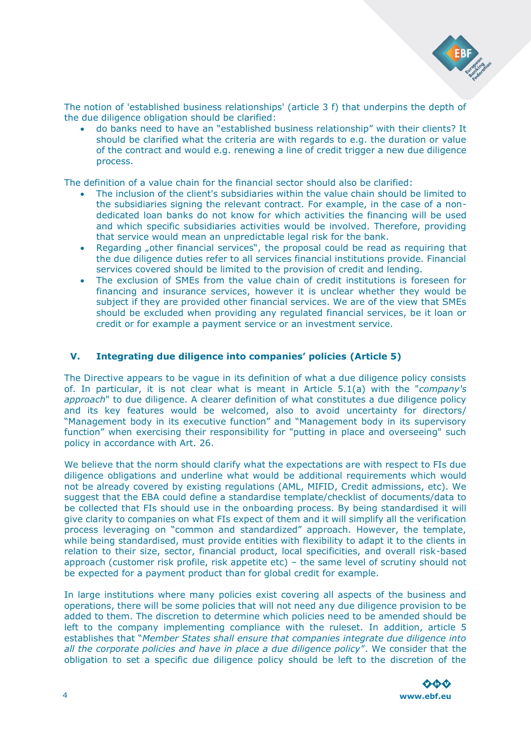

The notion of 'established business relationships' (article 3 f) that underpins the depth of the due diligence obligation should be clarified:

• do banks need to have an "established business relationship" with their clients? It should be clarified what the criteria are with regards to e.g. the duration or value of the contract and would e.g. renewing a line of credit trigger a new due diligence process.

The definition of a value chain for the financial sector should also be clarified:

- The inclusion of the client's subsidiaries within the value chain should be limited to the subsidiaries signing the relevant contract. For example, in the case of a nondedicated loan banks do not know for which activities the financing will be used and which specific subsidiaries activities would be involved. Therefore, providing that service would mean an unpredictable legal risk for the bank.
- Regarding "other financial services", the proposal could be read as requiring that the due diligence duties refer to all services financial institutions provide. Financial services covered should be limited to the provision of credit and lending.
- The exclusion of SMEs from the value chain of credit institutions is foreseen for financing and insurance services, however it is unclear whether they would be subject if they are provided other financial services. We are of the view that SMEs should be excluded when providing any regulated financial services, be it loan or credit or for example a payment service or an investment service.

#### **V. Integrating due diligence into companies' policies (Article 5)**

The Directive appears to be vague in its definition of what a due diligence policy consists of. In particular, it is not clear what is meant in Article 5.1(a) with the "*company's approach*" to due diligence. A clearer definition of what constitutes a due diligence policy and its key features would be welcomed, also to avoid uncertainty for directors/ "Management body in its executive function" and "Management body in its supervisory function" when exercising their responsibility for "putting in place and overseeing" such policy in accordance with Art. 26.

We believe that the norm should clarify what the expectations are with respect to FIs due diligence obligations and underline what would be additional requirements which would not be already covered by existing regulations (AML, MIFID, Credit admissions, etc). We suggest that the EBA could define a standardise template/checklist of documents/data to be collected that FIs should use in the onboarding process. By being standardised it will give clarity to companies on what FIs expect of them and it will simplify all the verification process leveraging on "common and standardized" approach. However, the template, while being standardised, must provide entities with flexibility to adapt it to the clients in relation to their size, sector, financial product, local specificities, and overall risk-based approach (customer risk profile, risk appetite etc) – the same level of scrutiny should not be expected for a payment product than for global credit for example.

In large institutions where many policies exist covering all aspects of the business and operations, there will be some policies that will not need any due diligence provision to be added to them. The discretion to determine which policies need to be amended should be left to the company implementing compliance with the ruleset. In addition, article 5 establishes that "*Member States shall ensure that companies integrate due diligence into all the corporate policies and have in place a due diligence policy*". We consider that the obligation to set a specific due diligence policy should be left to the discretion of the

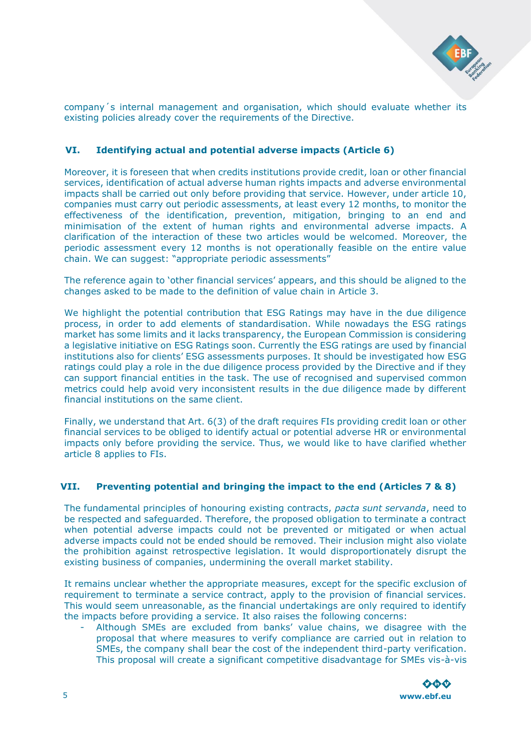

company´s internal management and organisation, which should evaluate whether its existing policies already cover the requirements of the Directive.

# **VI. Identifying actual and potential adverse impacts (Article 6)**

Moreover, it is foreseen that when credits institutions provide credit, loan or other financial services, identification of actual adverse human rights impacts and adverse environmental impacts shall be carried out only before providing that service. However, under article 10, companies must carry out periodic assessments, at least every 12 months, to monitor the effectiveness of the identification, prevention, mitigation, bringing to an end and minimisation of the extent of human rights and environmental adverse impacts. A clarification of the interaction of these two articles would be welcomed. Moreover, the periodic assessment every 12 months is not operationally feasible on the entire value chain. We can suggest: "appropriate periodic assessments"

The reference again to 'other financial services' appears, and this should be aligned to the changes asked to be made to the definition of value chain in Article 3.

We highlight the potential contribution that ESG Ratings may have in the due diligence process, in order to add elements of standardisation. While nowadays the ESG ratings market has some limits and it lacks transparency, the European Commission is considering a legislative initiative on ESG Ratings soon. Currently the ESG ratings are used by financial institutions also for clients' ESG assessments purposes. It should be investigated how ESG ratings could play a role in the due diligence process provided by the Directive and if they can support financial entities in the task. The use of recognised and supervised common metrics could help avoid very inconsistent results in the due diligence made by different financial institutions on the same client.

Finally, we understand that Art. 6(3) of the draft requires FIs providing credit loan or other financial services to be obliged to identify actual or potential adverse HR or environmental impacts only before providing the service. Thus, we would like to have clarified whether article 8 applies to FIs.

#### **VII. Preventing potential and bringing the impact to the end (Articles 7 & 8)**

The fundamental principles of honouring existing contracts, *pacta sunt servanda*, need to be respected and safeguarded. Therefore, the proposed obligation to terminate a contract when potential adverse impacts could not be prevented or mitigated or when actual adverse impacts could not be ended should be removed. Their inclusion might also violate the prohibition against retrospective legislation. It would disproportionately disrupt the existing business of companies, undermining the overall market stability.

It remains unclear whether the appropriate measures, except for the specific exclusion of requirement to terminate a service contract, apply to the provision of financial services. This would seem unreasonable, as the financial undertakings are only required to identify the impacts before providing a service. It also raises the following concerns:

- Although SMEs are excluded from banks' value chains, we disagree with the proposal that where measures to verify compliance are carried out in relation to SMEs, the company shall bear the cost of the independent third-party verification. This proposal will create a significant competitive disadvantage for SMEs vis-à-vis

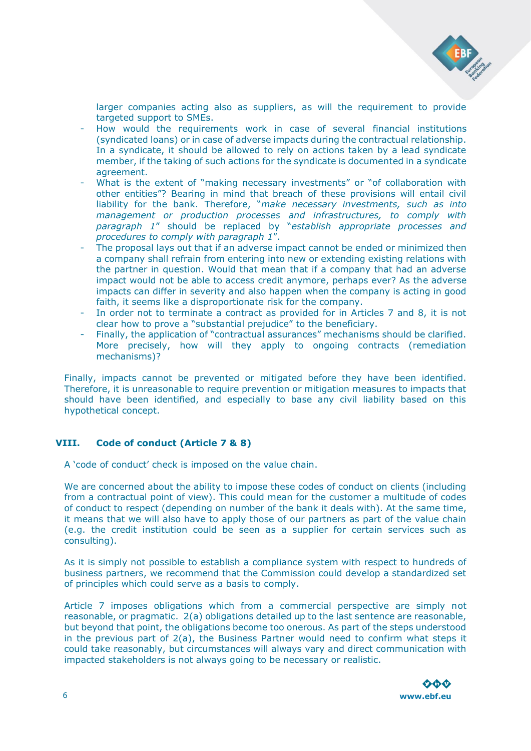

larger companies acting also as suppliers, as will the requirement to provide targeted support to SMEs.

- How would the requirements work in case of several financial institutions (syndicated loans) or in case of adverse impacts during the contractual relationship. In a syndicate, it should be allowed to rely on actions taken by a lead syndicate member, if the taking of such actions for the syndicate is documented in a syndicate agreement.
- What is the extent of "making necessary investments" or "of collaboration with other entities"? Bearing in mind that breach of these provisions will entail civil liability for the bank. Therefore, "*make necessary investments, such as into management or production processes and infrastructures, to comply with paragraph 1*" should be replaced by "*establish appropriate processes and procedures to comply with paragraph 1*".
- The proposal lays out that if an adverse impact cannot be ended or minimized then a company shall refrain from entering into new or extending existing relations with the partner in question. Would that mean that if a company that had an adverse impact would not be able to access credit anymore, perhaps ever? As the adverse impacts can differ in severity and also happen when the company is acting in good faith, it seems like a disproportionate risk for the company.
- In order not to terminate a contract as provided for in Articles 7 and 8, it is not clear how to prove a "substantial prejudice" to the beneficiary.
- Finally, the application of "contractual assurances" mechanisms should be clarified. More precisely, how will they apply to ongoing contracts (remediation mechanisms)?

Finally, impacts cannot be prevented or mitigated before they have been identified. Therefore, it is unreasonable to require prevention or mitigation measures to impacts that should have been identified, and especially to base any civil liability based on this hypothetical concept.

#### **VIII. Code of conduct (Article 7 & 8)**

A 'code of conduct' check is imposed on the value chain.

We are concerned about the ability to impose these codes of conduct on clients (including from a contractual point of view). This could mean for the customer a multitude of codes of conduct to respect (depending on number of the bank it deals with). At the same time, it means that we will also have to apply those of our partners as part of the value chain (e.g. the credit institution could be seen as a supplier for certain services such as consulting).

As it is simply not possible to establish a compliance system with respect to hundreds of business partners, we recommend that the Commission could develop a standardized set of principles which could serve as a basis to comply.

Article 7 imposes obligations which from a commercial perspective are simply not reasonable, or pragmatic. 2(a) obligations detailed up to the last sentence are reasonable, but beyond that point, the obligations become too onerous. As part of the steps understood in the previous part of 2(a), the Business Partner would need to confirm what steps it could take reasonably, but circumstances will always vary and direct communication with impacted stakeholders is not always going to be necessary or realistic.

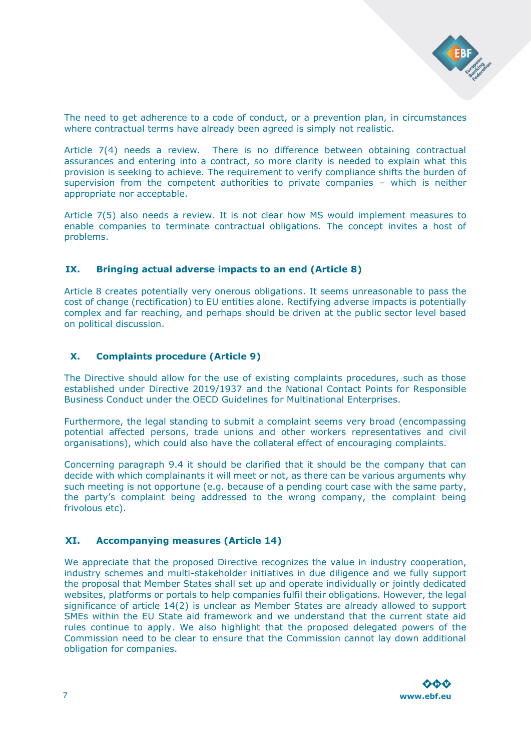

The need to get adherence to a code of conduct, or a prevention plan, in circumstances where contractual terms have already been agreed is simply not realistic.

Article 7(4) needs a review. There is no difference between obtaining contractual assurances and entering into a contract, so more clarity is needed to explain what this provision is seeking to achieve. The requirement to verify compliance shifts the burden of supervision from the competent authorities to private companies – which is neither appropriate nor acceptable.

Article 7(5) also needs a review. It is not clear how MS would implement measures to enable companies to terminate contractual obligations. The concept invites a host of problems.

## **IX. Bringing actual adverse impacts to an end (Article 8)**

Article 8 creates potentially very onerous obligations. It seems unreasonable to pass the cost of change (rectification) to EU entities alone. Rectifying adverse impacts is potentially complex and far reaching, and perhaps should be driven at the public sector level based on political discussion.

## **X. Complaints procedure (Article 9)**

The Directive should allow for the use of existing complaints procedures, such as those established under Directive 2019/1937 and the National Contact Points for Responsible Business Conduct under the OECD Guidelines for Multinational Enterprises.

Furthermore, the legal standing to submit a complaint seems very broad (encompassing potential affected persons, trade unions and other workers representatives and civil organisations), which could also have the collateral effect of encouraging complaints.

Concerning paragraph 9.4 it should be clarified that it should be the company that can decide with which complainants it will meet or not, as there can be various arguments why such meeting is not opportune (e.g. because of a pending court case with the same party, the party's complaint being addressed to the wrong company, the complaint being frivolous etc).

#### **XI. Accompanying measures (Article 14)**

We appreciate that the proposed Directive recognizes the value in industry cooperation, industry schemes and multi-stakeholder initiatives in due diligence and we fully support the proposal that Member States shall set up and operate individually or jointly dedicated websites, platforms or portals to help companies fulfil their obligations. However, the legal significance of article 14(2) is unclear as Member States are already allowed to support SMEs within the EU State aid framework and we understand that the current state aid rules continue to apply. We also highlight that the proposed delegated powers of the Commission need to be clear to ensure that the Commission cannot lay down additional obligation for companies.

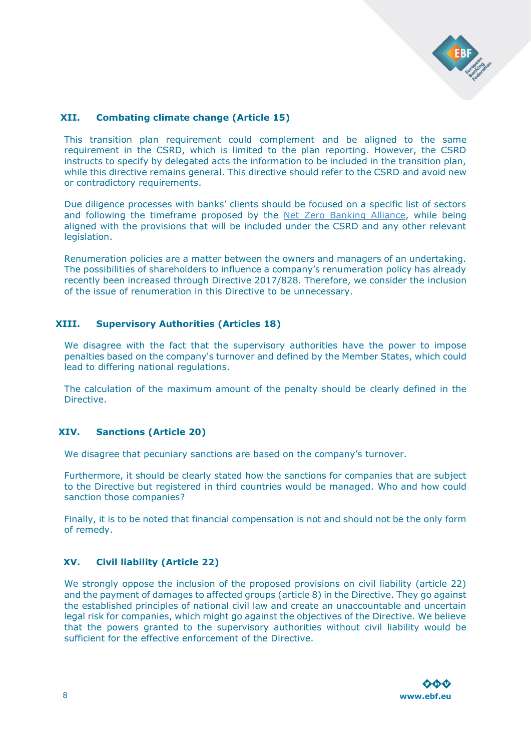

# **XII. Combating climate change (Article 15)**

This transition plan requirement could complement and be aligned to the same requirement in the CSRD, which is limited to the plan reporting. However, the CSRD instructs to specify by delegated acts the information to be included in the transition plan, while this directive remains general. This directive should refer to the CSRD and avoid new or contradictory requirements.

Due diligence processes with banks' clients should be focused on a specific list of sectors and following the timeframe proposed by the [Net Zero Banking Alliance,](https://www.unepfi.org/publications/guidelines-for-climate-target-setting-for-banks/) while being aligned with the provisions that will be included under the CSRD and any other relevant legislation.

Renumeration policies are a matter between the owners and managers of an undertaking. The possibilities of shareholders to influence a company's renumeration policy has already recently been increased through Directive 2017/828. Therefore, we consider the inclusion of the issue of renumeration in this Directive to be unnecessary.

## **XIII. Supervisory Authorities (Articles 18)**

We disagree with the fact that the supervisory authorities have the power to impose penalties based on the company's turnover and defined by the Member States, which could lead to differing national regulations.

The calculation of the maximum amount of the penalty should be clearly defined in the Directive.

#### **XIV. Sanctions (Article 20)**

We disagree that pecuniary sanctions are based on the company's turnover.

Furthermore, it should be clearly stated how the sanctions for companies that are subject to the Directive but registered in third countries would be managed. Who and how could sanction those companies?

Finally, it is to be noted that financial compensation is not and should not be the only form of remedy.

# **XV. Civil liability (Article 22)**

We strongly oppose the inclusion of the proposed provisions on civil liability (article 22) and the payment of damages to affected groups (article 8) in the Directive. They go against the established principles of national civil law and create an unaccountable and uncertain legal risk for companies, which might go against the objectives of the Directive. We believe that the powers granted to the supervisory authorities without civil liability would be sufficient for the effective enforcement of the Directive.

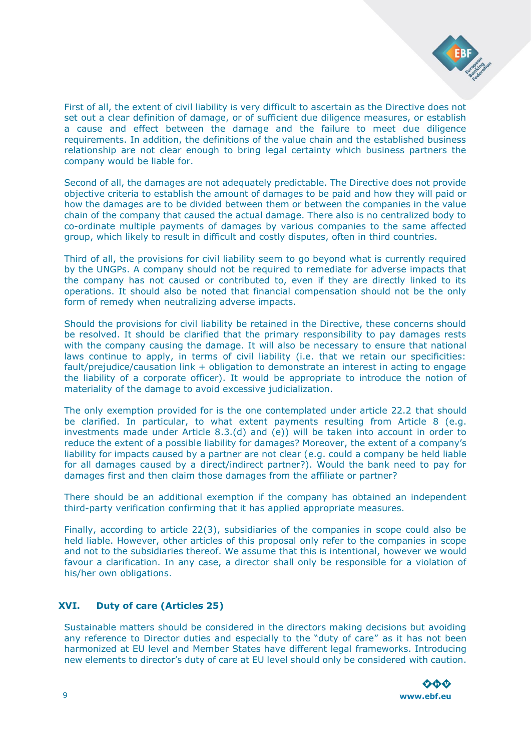

First of all, the extent of civil liability is very difficult to ascertain as the Directive does not set out a clear definition of damage, or of sufficient due diligence measures, or establish a cause and effect between the damage and the failure to meet due diligence requirements. In addition, the definitions of the value chain and the established business relationship are not clear enough to bring legal certainty which business partners the company would be liable for.

Second of all, the damages are not adequately predictable. The Directive does not provide objective criteria to establish the amount of damages to be paid and how they will paid or how the damages are to be divided between them or between the companies in the value chain of the company that caused the actual damage. There also is no centralized body to co-ordinate multiple payments of damages by various companies to the same affected group, which likely to result in difficult and costly disputes, often in third countries.

Third of all, the provisions for civil liability seem to go beyond what is currently required by the UNGPs. A company should not be required to remediate for adverse impacts that the company has not caused or contributed to, even if they are directly linked to its operations. It should also be noted that financial compensation should not be the only form of remedy when neutralizing adverse impacts.

Should the provisions for civil liability be retained in the Directive, these concerns should be resolved. It should be clarified that the primary responsibility to pay damages rests with the company causing the damage. It will also be necessary to ensure that national laws continue to apply, in terms of civil liability (i.e. that we retain our specificities: fault/prejudice/causation link + obligation to demonstrate an interest in acting to engage the liability of a corporate officer). It would be appropriate to introduce the notion of materiality of the damage to avoid excessive judicialization.

The only exemption provided for is the one contemplated under article 22.2 that should be clarified. In particular, to what extent payments resulting from Article 8 (e.g. investments made under Article 8.3.(d) and (e)) will be taken into account in order to reduce the extent of a possible liability for damages? Moreover, the extent of a company's liability for impacts caused by a partner are not clear (e.g. could a company be held liable for all damages caused by a direct/indirect partner?). Would the bank need to pay for damages first and then claim those damages from the affiliate or partner?

There should be an additional exemption if the company has obtained an independent third-party verification confirming that it has applied appropriate measures.

Finally, according to article 22(3), subsidiaries of the companies in scope could also be held liable. However, other articles of this proposal only refer to the companies in scope and not to the subsidiaries thereof. We assume that this is intentional, however we would favour a clarification. In any case, a director shall only be responsible for a violation of his/her own obligations.

# **XVI. Duty of care (Articles 25)**

Sustainable matters should be considered in the directors making decisions but avoiding any reference to Director duties and especially to the "duty of care" as it has not been harmonized at EU level and Member States have different legal frameworks. Introducing new elements to director's duty of care at EU level should only be considered with caution.

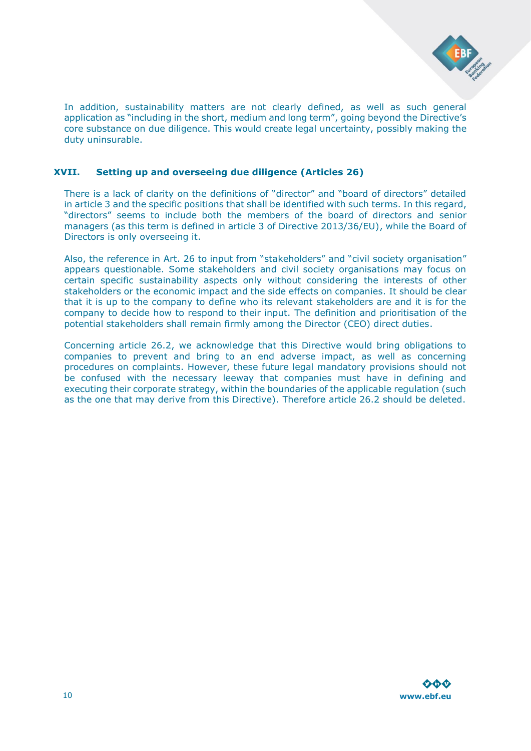

In addition, sustainability matters are not clearly defined, as well as such general application as "including in the short, medium and long term", going beyond the Directive's core substance on due diligence. This would create legal uncertainty, possibly making the duty uninsurable.

### **XVII. Setting up and overseeing due diligence (Articles 26)**

There is a lack of clarity on the definitions of "director" and "board of directors" detailed in article 3 and the specific positions that shall be identified with such terms. In this regard, "directors" seems to include both the members of the board of directors and senior managers (as this term is defined in article 3 of Directive 2013/36/EU), while the Board of Directors is only overseeing it.

Also, the reference in Art. 26 to input from "stakeholders" and "civil society organisation" appears questionable. Some stakeholders and civil society organisations may focus on certain specific sustainability aspects only without considering the interests of other stakeholders or the economic impact and the side effects on companies. It should be clear that it is up to the company to define who its relevant stakeholders are and it is for the company to decide how to respond to their input. The definition and prioritisation of the potential stakeholders shall remain firmly among the Director (CEO) direct duties.

Concerning article 26.2, we acknowledge that this Directive would bring obligations to companies to prevent and bring to an end adverse impact, as well as concerning procedures on complaints. However, these future legal mandatory provisions should not be confused with the necessary leeway that companies must have in defining and executing their corporate strategy, within the boundaries of the applicable regulation (such as the one that may derive from this Directive). Therefore article 26.2 should be deleted.